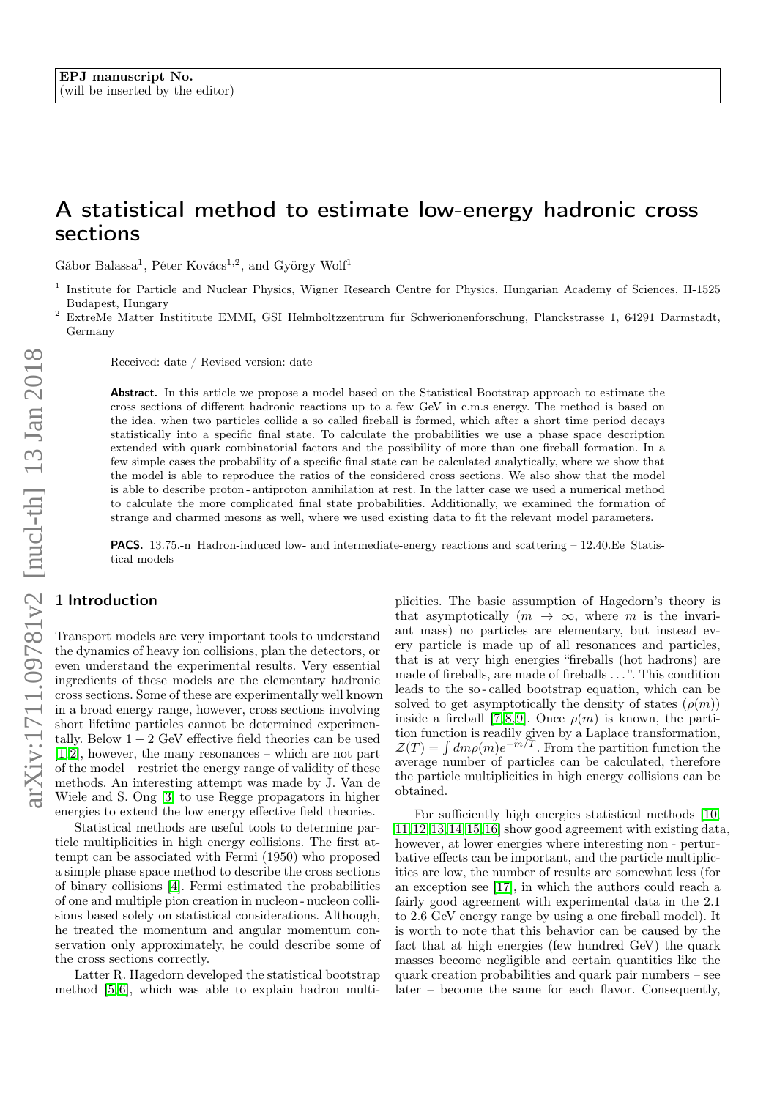# A statistical method to estimate low-energy hadronic cross sections

Gábor Balassa<sup>1</sup>, Péter Kovács<sup>1,2</sup>, and György Wolf<sup>1</sup>

<sup>2</sup> ExtreMe Matter Instititute EMMI, GSI Helmholtzzentrum für Schwerionenforschung, Planckstrasse 1, 64291 Darmstadt, Germany

Received: date / Revised version: date

Abstract. In this article we propose a model based on the Statistical Bootstrap approach to estimate the cross sections of different hadronic reactions up to a few GeV in c.m.s energy. The method is based on the idea, when two particles collide a so called fireball is formed, which after a short time period decays statistically into a specific final state. To calculate the probabilities we use a phase space description extended with quark combinatorial factors and the possibility of more than one fireball formation. In a few simple cases the probability of a specific final state can be calculated analytically, where we show that the model is able to reproduce the ratios of the considered cross sections. We also show that the model is able to describe proton - antiproton annihilation at rest. In the latter case we used a numerical method to calculate the more complicated final state probabilities. Additionally, we examined the formation of strange and charmed mesons as well, where we used existing data to fit the relevant model parameters.

PACS. 13.75.-n Hadron-induced low- and intermediate-energy reactions and scattering – 12.40.Ee Statistical models

## 1 Introduction

Transport models are very important tools to understand the dynamics of heavy ion collisions, plan the detectors, or even understand the experimental results. Very essential ingredients of these models are the elementary hadronic cross sections. Some of these are experimentally well known in a broad energy range, however, cross sections involving short lifetime particles cannot be determined experimentally. Below  $1 - 2$  GeV effective field theories can be used [\[1,](#page-11-0)[2\]](#page-11-1), however, the many resonances – which are not part of the model – restrict the energy range of validity of these methods. An interesting attempt was made by J. Van de Wiele and S. Ong [\[3\]](#page-11-2) to use Regge propagators in higher energies to extend the low energy effective field theories.

Statistical methods are useful tools to determine particle multiplicities in high energy collisions. The first attempt can be associated with Fermi (1950) who proposed a simple phase space method to describe the cross sections of binary collisions [\[4\]](#page-11-3). Fermi estimated the probabilities of one and multiple pion creation in nucleon - nucleon collisions based solely on statistical considerations. Although, he treated the momentum and angular momentum conservation only approximately, he could describe some of the cross sections correctly.

Latter R. Hagedorn developed the statistical bootstrap method [\[5,](#page-11-4)[6\]](#page-11-5), which was able to explain hadron multiplicities. The basic assumption of Hagedorn's theory is that asymptotically  $(m \rightarrow \infty,$  where m is the invariant mass) no particles are elementary, but instead every particle is made up of all resonances and particles, that is at very high energies "fireballs (hot hadrons) are made of fireballs, are made of fireballs . . . ". This condition leads to the so - called bootstrap equation, which can be solved to get asymptotically the density of states  $(\rho(m))$ inside a fireball [\[7,](#page-11-6)[8,](#page-11-7)[9\]](#page-11-8). Once  $\rho(m)$  is known, the partition function is readily given by a Laplace transformation,  $\mathcal{Z}(T) = \int dm \rho(m) e^{-m/T}$ . From the partition function the average number of particles can be calculated, therefore the particle multiplicities in high energy collisions can be obtained.

For sufficiently high energies statistical methods [\[10,](#page-11-9) [11,](#page-11-10)[12,](#page-11-11)[13,](#page-11-12)[14,](#page-11-13)[15,](#page-11-14)[16\]](#page-11-15) show good agreement with existing data, however, at lower energies where interesting non - perturbative effects can be important, and the particle multiplicities are low, the number of results are somewhat less (for an exception see [\[17\]](#page-11-16), in which the authors could reach a fairly good agreement with experimental data in the 2.1 to 2.6 GeV energy range by using a one fireball model). It is worth to note that this behavior can be caused by the fact that at high energies (few hundred GeV) the quark masses become negligible and certain quantities like the quark creation probabilities and quark pair numbers – see later – become the same for each flavor. Consequently,

<sup>1</sup> Institute for Particle and Nuclear Physics, Wigner Research Centre for Physics, Hungarian Academy of Sciences, H-1525 Budapest, Hungary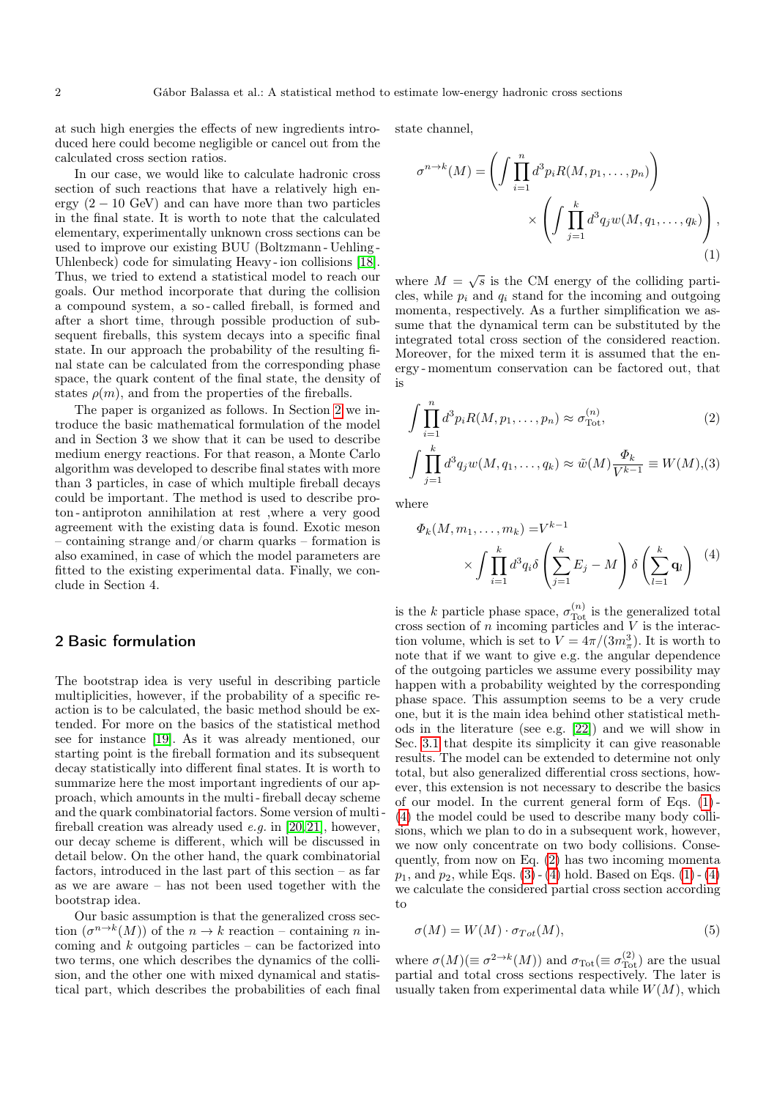at such high energies the effects of new ingredients introduced here could become negligible or cancel out from the calculated cross section ratios.

In our case, we would like to calculate hadronic cross section of such reactions that have a relatively high energy  $(2 - 10 \text{ GeV})$  and can have more than two particles in the final state. It is worth to note that the calculated elementary, experimentally unknown cross sections can be used to improve our existing BUU (Boltzmann - Uehling - Uhlenbeck) code for simulating Heavy - ion collisions [\[18\]](#page-11-17). Thus, we tried to extend a statistical model to reach our goals. Our method incorporate that during the collision a compound system, a so - called fireball, is formed and after a short time, through possible production of subsequent fireballs, this system decays into a specific final state. In our approach the probability of the resulting final state can be calculated from the corresponding phase space, the quark content of the final state, the density of states  $\rho(m)$ , and from the properties of the fireballs.

The paper is organized as follows. In Section [2](#page-1-0) we introduce the basic mathematical formulation of the model and in Section 3 we show that it can be used to describe medium energy reactions. For that reason, a Monte Carlo algorithm was developed to describe final states with more than 3 particles, in case of which multiple fireball decays could be important. The method is used to describe proton - antiproton annihilation at rest ,where a very good agreement with the existing data is found. Exotic meson containing strange and/or charm quarks – formation is also examined, in case of which the model parameters are fitted to the existing experimental data. Finally, we conclude in Section 4.

# <span id="page-1-0"></span>2 Basic formulation

The bootstrap idea is very useful in describing particle multiplicities, however, if the probability of a specific reaction is to be calculated, the basic method should be extended. For more on the basics of the statistical method see for instance [\[19\]](#page-11-18). As it was already mentioned, our starting point is the fireball formation and its subsequent decay statistically into different final states. It is worth to summarize here the most important ingredients of our approach, which amounts in the multi - fireball decay scheme and the quark combinatorial factors. Some version of multi fireball creation was already used  $e.g.$  in [\[20,](#page-11-19)[21\]](#page-11-20), however, our decay scheme is different, which will be discussed in detail below. On the other hand, the quark combinatorial factors, introduced in the last part of this section – as far as we are aware – has not been used together with the bootstrap idea.

Our basic assumption is that the generalized cross section  $(\sigma^{n\to k}(M))$  of the  $n \to k$  reaction – containing n incoming and  $k$  outgoing particles – can be factorized into two terms, one which describes the dynamics of the collision, and the other one with mixed dynamical and statistical part, which describes the probabilities of each final state channel,

<span id="page-1-1"></span>
$$
\sigma^{n \to k}(M) = \left( \int \prod_{i=1}^n d^3 p_i R(M, p_1, \dots, p_n) \right) \times \left( \int \prod_{j=1}^k d^3 q_j w(M, q_1, \dots, q_k) \right),
$$
\n(1)

where  $M = \sqrt{s}$  is the CM energy of the colliding particles, while  $p_i$  and  $q_i$  stand for the incoming and outgoing momenta, respectively. As a further simplification we assume that the dynamical term can be substituted by the integrated total cross section of the considered reaction. Moreover, for the mixed term it is assumed that the energy - momentum conservation can be factored out, that is

<span id="page-1-3"></span>
$$
\int \prod_{i=1}^{n} d^{3}p_{i}R(M, p_{1}, \dots, p_{n}) \approx \sigma_{\text{Tot}}^{(n)},
$$
\n
$$
\int \prod_{j=1}^{k} d^{3}q_{j}w(M, q_{1}, \dots, q_{k}) \approx \tilde{w}(M)\frac{\Phi_{k}}{V^{k-1}} \equiv W(M),(3)
$$

where

<span id="page-1-2"></span>
$$
\Phi_k(M, m_1, \dots, m_k) = V^{k-1}
$$

$$
\times \int \prod_{i=1}^k d^3 q_i \delta \left( \sum_{j=1}^k E_j - M \right) \delta \left( \sum_{l=1}^k \mathbf{q}_l \right) \tag{4}
$$

is the k particle phase space,  $\sigma_{\text{Tot}}^{(n)}$  is the generalized total cross section of  $n$  incoming particles and  $\tilde{V}$  is the interaction volume, which is set to  $V = 4\pi/(3m_\pi^3)$ . It is worth to note that if we want to give e.g. the angular dependence of the outgoing particles we assume every possibility may happen with a probability weighted by the corresponding phase space. This assumption seems to be a very crude one, but it is the main idea behind other statistical methods in the literature (see e.g. [\[22\]](#page-11-21)) and we will show in Sec. [3.1](#page-5-0) that despite its simplicity it can give reasonable results. The model can be extended to determine not only total, but also generalized differential cross sections, however, this extension is not necessary to describe the basics of our model. In the current general form of Eqs. [\(1\)](#page-1-1) - [\(4\)](#page-1-2) the model could be used to describe many body collisions, which we plan to do in a subsequent work, however, we now only concentrate on two body collisions. Consequently, from now on Eq. [\(2\)](#page-1-3) has two incoming momenta  $p_1$ , and  $p_2$ , while Eqs. [\(3\)](#page-1-3) - [\(4\)](#page-1-2) hold. Based on Eqs. [\(1\)](#page-1-1) - (4) we calculate the considered partial cross section according to

$$
\sigma(M) = W(M) \cdot \sigma_{Tot}(M),\tag{5}
$$

where  $\sigma(M) (\equiv \sigma^{2 \to k}(M))$  and  $\sigma_{\text{Tot}} (\equiv \sigma_{\text{Tot}}^{(2)})$  are the usual partial and total cross sections respectively. The later is usually taken from experimental data while  $W(M)$ , which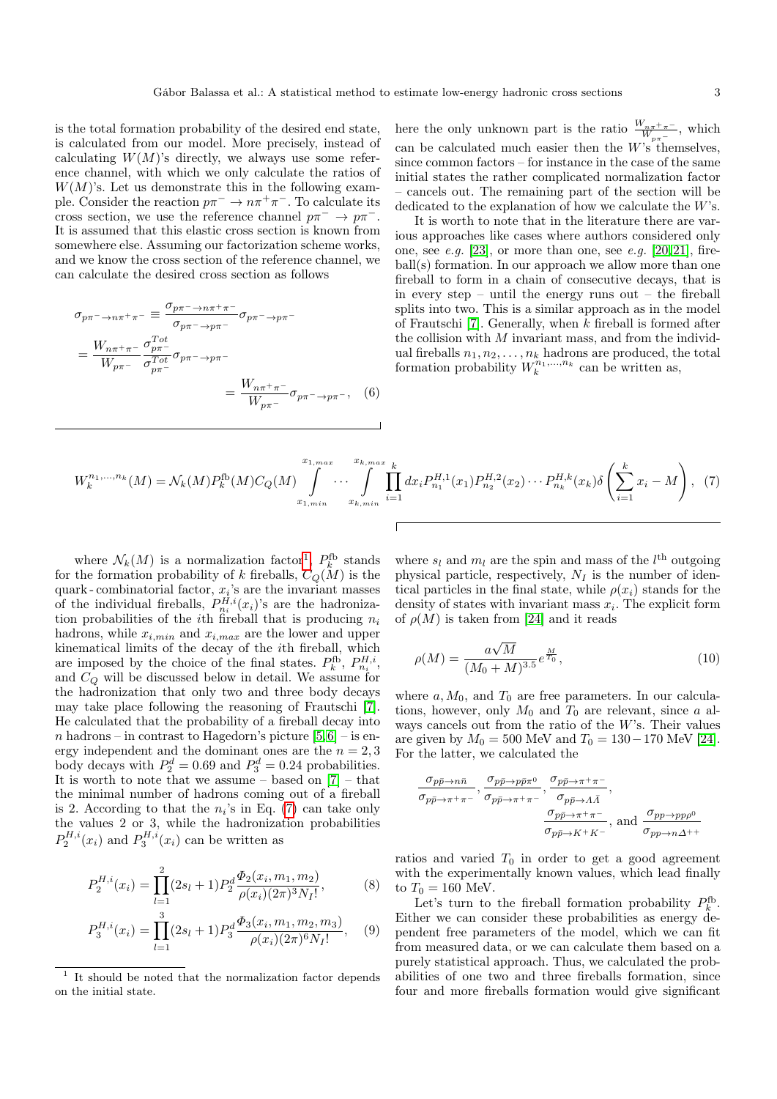is the total formation probability of the desired end state, is calculated from our model. More precisely, instead of calculating  $W(M)$ 's directly, we always use some reference channel, with which we only calculate the ratios of  $W(M)$ 's. Let us demonstrate this in the following example. Consider the reaction  $p\pi^- \to n\pi^+\pi^-$ . To calculate its cross section, we use the reference channel  $p\pi^- \to p\pi^-$ . It is assumed that this elastic cross section is known from somewhere else. Assuming our factorization scheme works, and we know the cross section of the reference channel, we can calculate the desired cross section as follows

$$
\sigma_{p\pi^{-} \to n\pi^{+}\pi^{-}} \equiv \frac{\sigma_{p\pi^{-} \to n\pi^{+}\pi^{-}}}{\sigma_{p\pi^{-} \to p\pi^{-}}} \sigma_{p\pi^{-} \to p\pi^{-}}
$$

$$
= \frac{W_{n\pi^{+}\pi^{-}}}{W_{p\pi^{-}}} \frac{\sigma_{p\pi^{-}}^{Tot}}{\sigma_{p\pi^{-}}} \sigma_{p\pi^{-} \to p\pi^{-}}
$$

$$
= \frac{W_{n\pi^{+}\pi^{-}}}{W_{p\pi^{-}}} \sigma_{p\pi^{-} \to p\pi^{-}}, \quad (6)
$$

here the only unknown part is the ratio  $\frac{W_{n\pi^+\pi^-}}{W_{p\pi^-}}$ , which can be calculated much easier then the  $W$ 's themselves, since common factors – for instance in the case of the same initial states the rather complicated normalization factor – cancels out. The remaining part of the section will be dedicated to the explanation of how we calculate the  $W$ 's.

It is worth to note that in the literature there are various approaches like cases where authors considered only one, see  $e.g.$  [\[23\]](#page-11-22), or more than one, see  $e.g.$  [\[20,](#page-11-19)[21\]](#page-11-20), fireball(s) formation. In our approach we allow more than one fireball to form in a chain of consecutive decays, that is in every step – until the energy runs out – the fireball splits into two. This is a similar approach as in the model of Frautschi [\[7\]](#page-11-6). Generally, when k fireball is formed after the collision with  $M$  invariant mass, and from the individual fireballs  $n_1, n_2, \ldots, n_k$  hadrons are produced, the total formation probability  $W_k^{n_1,...,n_k}$  can be written as,

<span id="page-2-1"></span>
$$
W_k^{n_1,\dots,n_k}(M) = \mathcal{N}_k(M)P_k^{\text{fb}}(M)C_Q(M) \int_{x_{1,min}}^{x_{1,max}} \cdots \int_{x_{k,min}}^{x_{k,max}} \prod_{i=1}^k dx_i P_{n_1}^{H,1}(x_1) P_{n_2}^{H,2}(x_2) \cdots P_{n_k}^{H,k}(x_k) \delta\left(\sum_{i=1}^k x_i - M\right), \tag{7}
$$

where  $\mathcal{N}_k(M)$  is a normalization factor<sup>[1](#page-2-0)</sup>,  $P_k^{\text{fb}}$  stands for the formation probability of k fireballs,  $C_Q(M)$  is the quark - combinatorial factor,  $x_i$ 's are the invariant masses of the individual fireballs,  $P_{n_i}^{H,i}(x_i)$ 's are the hadronization probabilities of the *i*th fireball that is producing  $n_i$ hadrons, while  $x_{i,min}$  and  $x_{i,max}$  are the lower and upper kinematical limits of the decay of the ith fireball, which are imposed by the choice of the final states.  $P_k^{\text{fb}}, P_{n_i}^{H,i}$ , and  $C_Q$  will be discussed below in detail. We assume for the hadronization that only two and three body decays may take place following the reasoning of Frautschi [\[7\]](#page-11-6). He calculated that the probability of a fireball decay into n hadrons – in contrast to Hagedorn's picture  $[5,6]$  $[5,6]$  – is energy independent and the dominant ones are the  $n = 2, 3$ body decays with  $P_2^d = 0.69$  and  $P_3^d = 0.24$  probabilities. It is worth to note that we assume – based on  $[7]$  – that the minimal number of hadrons coming out of a fireball is 2. According to that the  $n_i$ 's in Eq. [\(7\)](#page-2-1) can take only the values 2 or 3, while the hadronization probabilities  $P_2^{H,i}(x_i)$  and  $P_3^{H,i}(x_i)$  can be written as

<span id="page-2-2"></span>
$$
P_2^{H,i}(x_i) = \prod_{l=1}^2 (2s_l + 1) P_2^d \frac{\Phi_2(x_i, m_1, m_2)}{\rho(x_i)(2\pi)^3 N_I!},
$$
 (8)

$$
P_3^{H,i}(x_i) = \prod_{l=1}^3 (2s_l+1) P_3^d \frac{\Phi_3(x_i, m_1, m_2, m_3)}{\rho(x_i)(2\pi)^6 N_I!}, \quad (9)
$$

where  $s_l$  and  $m_l$  are the spin and mass of the  $l<sup>th</sup>$  outgoing physical particle, respectively,  $N_I$  is the number of identical particles in the final state, while  $\rho(x_i)$  stands for the density of states with invariant mass  $x_i$ . The explicit form of  $\rho(M)$  is taken from [\[24\]](#page-11-23) and it reads

$$
\rho(M) = \frac{a\sqrt{M}}{(M_0 + M)^{3.5}} e^{\frac{M}{T_0}},\tag{10}
$$

where  $a, M_0$ , and  $T_0$  are free parameters. In our calculations, however, only  $M_0$  and  $T_0$  are relevant, since a always cancels out from the ratio of the W's. Their values are given by  $M_0 = 500$  MeV and  $T_0 = 130 - 170$  MeV [\[24\]](#page-11-23). For the latter, we calculated the

$$
\frac{\sigma_{p\bar{p}\to n\bar{n}}}{\sigma_{p\bar{p}\to \pi^+\pi^-}}, \frac{\sigma_{p\bar{p}\to p\bar{p}\pi^0}}{\sigma_{p\bar{p}\to \pi^+\pi^-}}, \frac{\sigma_{p\bar{p}\to \pi^+\pi^-}}{\sigma_{p\bar{p}\to \Lambda\bar{\Lambda}}},
$$
\n
$$
\frac{\sigma_{p\bar{p}\to \pi^+\pi^-}}{\sigma_{p\bar{p}\to K^+K^-}}, \text{ and } \frac{\sigma_{pp\to pp\rho^0}}{\sigma_{pp\to n\Delta^{++}}}
$$

ratios and varied  $T_0$  in order to get a good agreement with the experimentally known values, which lead finally to  $T_0 = 160$  MeV.

Let's turn to the fireball formation probability  $P_k^{\text{fb}}$ . Either we can consider these probabilities as energy dependent free parameters of the model, which we can fit from measured data, or we can calculate them based on a purely statistical approach. Thus, we calculated the probabilities of one two and three fireballs formation, since four and more fireballs formation would give significant

<span id="page-2-0"></span><sup>1</sup> It should be noted that the normalization factor depends on the initial state.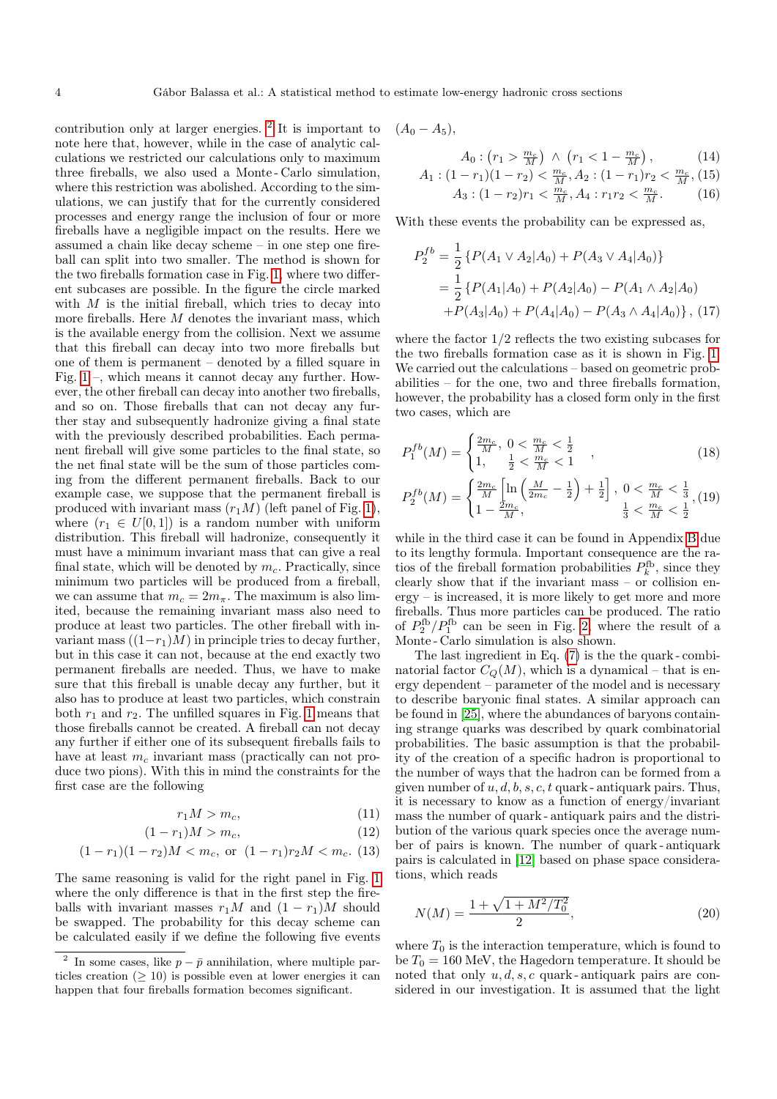contribution only at larger energies. [2](#page-3-0) It is important to note here that, however, while in the case of analytic calculations we restricted our calculations only to maximum three fireballs, we also used a Monte - Carlo simulation, where this restriction was abolished. According to the simulations, we can justify that for the currently considered processes and energy range the inclusion of four or more fireballs have a negligible impact on the results. Here we assumed a chain like decay scheme – in one step one fireball can split into two smaller. The method is shown for the two fireballs formation case in Fig. [1,](#page-4-0) where two different subcases are possible. In the figure the circle marked with  $M$  is the initial fireball, which tries to decay into more fireballs. Here M denotes the invariant mass, which is the available energy from the collision. Next we assume that this fireball can decay into two more fireballs but one of them is permanent – denoted by a filled square in Fig. [1](#page-4-0) –, which means it cannot decay any further. However, the other fireball can decay into another two fireballs, and so on. Those fireballs that can not decay any further stay and subsequently hadronize giving a final state with the previously described probabilities. Each permanent fireball will give some particles to the final state, so the net final state will be the sum of those particles coming from the different permanent fireballs. Back to our example case, we suppose that the permanent fireball is produced with invariant mass  $(r_1M)$  (left panel of Fig. [1\)](#page-4-0), where  $(r_1 \in U[0,1])$  is a random number with uniform distribution. This fireball will hadronize, consequently it must have a minimum invariant mass that can give a real final state, which will be denoted by  $m_c$ . Practically, since minimum two particles will be produced from a fireball, we can assume that  $m_c = 2m_\pi$ . The maximum is also limited, because the remaining invariant mass also need to produce at least two particles. The other fireball with invariant mass  $((1-r_1)M)$  in principle tries to decay further, but in this case it can not, because at the end exactly two permanent fireballs are needed. Thus, we have to make sure that this fireball is unable decay any further, but it also has to produce at least two particles, which constrain both  $r_1$  and  $r_2$ . The unfilled squares in Fig. [1](#page-4-0) means that those fireballs cannot be created. A fireball can not decay any further if either one of its subsequent fireballs fails to have at least  $m_c$  invariant mass (practically can not produce two pions). With this in mind the constraints for the first case are the following

$$
r_1 M > m_c,\t\t(11)
$$

$$
(1 - r1)M > mc, \t\t(12)
$$

$$
(1 - r1)(1 - r2)M < mc, or (1 - r1)r2M < mc. (13)
$$

The same reasoning is valid for the right panel in Fig. [1](#page-4-0) where the only difference is that in the first step the fireballs with invariant masses  $r_1M$  and  $(1 - r_1)M$  should be swapped. The probability for this decay scheme can be calculated easily if we define the following five events

$$
(A_0-A_5),
$$

$$
A_0: (r_1 > \frac{m_c}{M}) \ \wedge \ (r_1 < 1 - \frac{m_c}{M}), \tag{14}
$$

$$
A_1: (1 - r_1)(1 - r_2) < \frac{m_c}{M}, A_2: (1 - r_1)r_2 < \frac{m_c}{M}, (15) A_3: (1 - r_2)r_1 < \frac{m_c}{M}, A_4: r_1r_2 < \frac{m_c}{M}.
$$
 (16)

$$
M \times N
$$

With these events the probability can be expressed as,

$$
P_2^{fb} = \frac{1}{2} \left\{ P(A_1 \vee A_2 | A_0) + P(A_3 \vee A_4 | A_0) \right\}
$$
  
= 
$$
\frac{1}{2} \left\{ P(A_1 | A_0) + P(A_2 | A_0) - P(A_1 \wedge A_2 | A_0) \right\}
$$
  
+ 
$$
P(A_3 | A_0) + P(A_4 | A_0) - P(A_3 \wedge A_4 | A_0) \right\}, (17)
$$

where the factor 1/2 reflects the two existing subcases for the two fireballs formation case as it is shown in Fig. [1.](#page-4-0) We carried out the calculations – based on geometric probabilities – for the one, two and three fireballs formation, however, the probability has a closed form only in the first two cases, which are

<span id="page-3-1"></span>
$$
P_1^{fb}(M) = \begin{cases} \frac{2m_c}{M}, & 0 < \frac{m_c}{M} < \frac{1}{2} \\ 1, & \frac{1}{2} < \frac{m_c}{M} < 1 \end{cases}
$$
 (18)

$$
P_2^{fb}(M) = \begin{cases} \frac{2m_c}{M} \left[ \ln \left( \frac{M}{2m_c} - \frac{1}{2} \right) + \frac{1}{2} \right], \ 0 < \frac{m_c}{M} < \frac{1}{3}, \ (19) \\ 1 - \frac{2m_c}{M}, \qquad \qquad \frac{1}{3} < \frac{m_c}{M} < \frac{1}{2} \end{cases}
$$

while in the third case it can be found in Appendix [B](#page-9-0) due to its lengthy formula. Important consequence are the ratios of the fireball formation probabilities  $P_k^{\text{fb}}$ , since they clearly show that if the invariant mass – or collision energy – is increased, it is more likely to get more and more fireballs. Thus more particles can be produced. The ratio of  $P_2^{\text{fb}}/P_1^{\text{fb}}$  can be seen in Fig. [2,](#page-4-1) where the result of a Monte - Carlo simulation is also shown.

The last ingredient in Eq. [\(7\)](#page-2-1) is the the quark - combinatorial factor  $C_Q(M)$ , which is a dynamical – that is energy dependent – parameter of the model and is necessary to describe baryonic final states. A similar approach can be found in [\[25\]](#page-11-24), where the abundances of baryons containing strange quarks was described by quark combinatorial probabilities. The basic assumption is that the probability of the creation of a specific hadron is proportional to the number of ways that the hadron can be formed from a given number of  $u, d, b, s, c, t$  quark - antiquark pairs. Thus, it is necessary to know as a function of energy/invariant mass the number of quark - antiquark pairs and the distribution of the various quark species once the average number of pairs is known. The number of quark - antiquark pairs is calculated in [\[12\]](#page-11-11) based on phase space considerations, which reads

$$
N(M) = \frac{1 + \sqrt{1 + M^2/T_0^2}}{2},\tag{20}
$$

where  $T_0$  is the interaction temperature, which is found to be  $T_0 = 160$  MeV, the Hagedorn temperature. It should be noted that only  $u, d, s, c$  quark-antiquark pairs are considered in our investigation. It is assumed that the light

<span id="page-3-0"></span><sup>&</sup>lt;sup>2</sup> In some cases, like  $p - \bar{p}$  annihilation, where multiple particles creation  $(≥ 10)$  is possible even at lower energies it can happen that four fireballs formation becomes significant.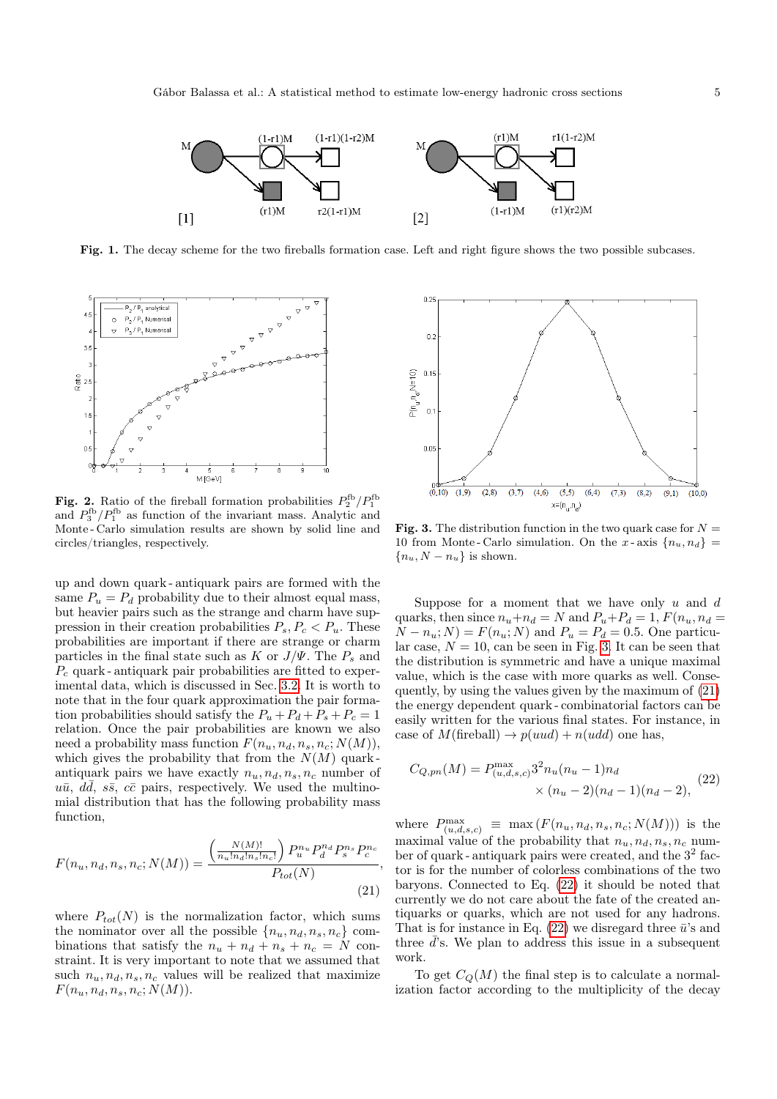

<span id="page-4-0"></span>Fig. 1. The decay scheme for the two fireballs formation case. Left and right figure shows the two possible subcases.



<span id="page-4-1"></span>**Fig. 2.** Ratio of the fireball formation probabilities  $P_2^{\text{fb}}/P_1^{\text{fb}}$ and  $P_3^{\text{fb}}/P_1^{\text{fb}}$  as function of the invariant mass. Analytic and Monte - Carlo simulation results are shown by solid line and circles/triangles, respectively.

up and down quark - antiquark pairs are formed with the same  $P_u = P_d$  probability due to their almost equal mass, but heavier pairs such as the strange and charm have suppression in their creation probabilities  $P_s, P_c < P_u$ . These probabilities are important if there are strange or charm particles in the final state such as K or  $J/\Psi$ . The  $P_s$  and  $P_c$  quark - antiquark pair probabilities are fitted to experimental data, which is discussed in Sec. [3.2.](#page-6-0) It is worth to note that in the four quark approximation the pair formation probabilities should satisfy the  $P_u + P_d + P_s + P_c = 1$ relation. Once the pair probabilities are known we also need a probability mass function  $F(n_u, n_d, n_s, n_c; N(M))$ , which gives the probability that from the  $N(M)$  quarkantiquark pairs we have exactly  $n_u, n_d, n_s, n_c$  number of  $u\bar{u}$ ,  $d\bar{d}$ ,  $s\bar{s}$ ,  $c\bar{c}$  pairs, respectively. We used the multinomial distribution that has the following probability mass function,

<span id="page-4-3"></span>
$$
F(n_u, n_d, n_s, n_c; N(M)) = \frac{\left(\frac{N(M)!}{n_u! n_d! n_s! n_c!}\right) P_u^{n_u} P_d^{n_d} P_s^{n_s} P_c^{n_c}}{P_{tot}(N)},
$$
\n(21)

where  $P_{tot}(N)$  is the normalization factor, which sums the nominator over all the possible  $\{n_u, n_d, n_s, n_c\}$  combinations that satisfy the  $n_u + n_d + n_s + n_c = N$  constraint. It is very important to note that we assumed that such  $n_u, n_d, n_s, n_c$  values will be realized that maximize  $F(n_u, n_d, n_s, n_c; N(M)).$ 



<span id="page-4-2"></span>**Fig. 3.** The distribution function in the two quark case for  $N =$ 10 from Monte-Carlo simulation. On the x-axis  $\{n_u, n_d\}$  ${n_u, N - n_u}$  is shown.

Suppose for a moment that we have only  $u$  and  $d$ quarks, then since  $n_u+n_d=N$  and  $P_u+P_d=1$ ,  $F(n_u, n_d=$  $N - n_u$ ;  $N$ ) =  $F(n_u; N)$  and  $P_u = P_d = 0.5$ . One particular case,  $N = 10$ , can be seen in Fig. [3.](#page-4-2) It can be seen that the distribution is symmetric and have a unique maximal value, which is the case with more quarks as well. Consequently, by using the values given by the maximum of [\(21\)](#page-4-3) the energy dependent quark - combinatorial factors can be easily written for the various final states. For instance, in case of  $M$ (fireball)  $\rightarrow p(uud) + n(udd)$  one has,

<span id="page-4-4"></span>
$$
C_{Q,pn}(M) = P_{(u,d,s,c)}^{\max} 3^2 n_u (n_u - 1) n_d
$$
  
×  $(n_u - 2)(n_d - 1)(n_d - 2),$  (22)

where  $P_{(u,d,s,c)}^{\max} \equiv \max(F(n_u, n_d, n_s, n_c; N(M)))$  is the maximal value of the probability that  $n_u, n_d, n_s, n_c$  number of quark - antiquark pairs were created, and the  $3^2$  factor is for the number of colorless combinations of the two baryons. Connected to Eq. [\(22\)](#page-4-4) it should be noted that currently we do not care about the fate of the created antiquarks or quarks, which are not used for any hadrons. That is for instance in Eq.  $(22)$  we disregard three  $\bar{u}$ 's and three  $\overline{d}$ 's. We plan to address this issue in a subsequent work.

To get  $C_Q(M)$  the final step is to calculate a normalization factor according to the multiplicity of the decay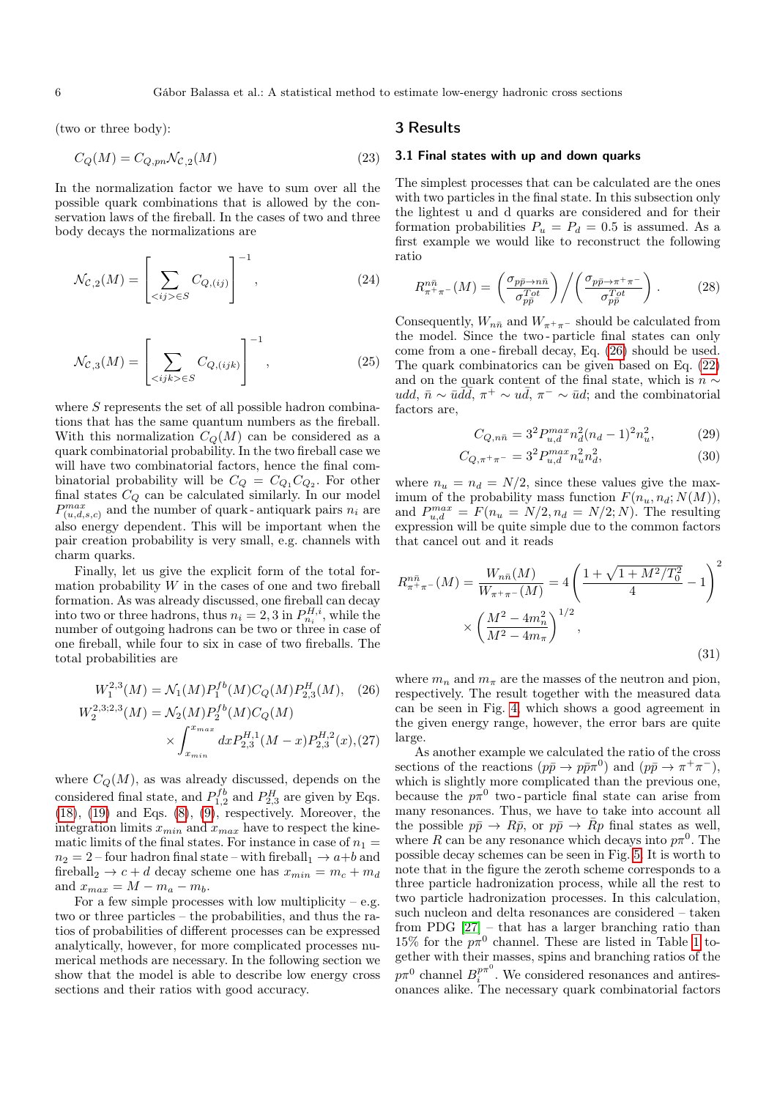(two or three body):

$$
C_Q(M) = C_{Q, pn} \mathcal{N}_{\mathcal{C},2}(M)
$$
\n(23)

In the normalization factor we have to sum over all the possible quark combinations that is allowed by the conservation laws of the fireball. In the cases of two and three body decays the normalizations are

$$
\mathcal{N}_{\mathcal{C},2}(M) = \left[ \sum_{\langle ij \rangle \in S} C_{Q,(ij)} \right]^{-1},\tag{24}
$$

$$
\mathcal{N}_{\mathcal{C},3}(M) = \left[ \sum_{\langle ijk \rangle \in S} C_{Q,(ijk)} \right]^{-1},\tag{25}
$$

where  $S$  represents the set of all possible hadron combinations that has the same quantum numbers as the fireball. With this normalization  $C<sub>O</sub>(M)$  can be considered as a quark combinatorial probability. In the two fireball case we will have two combinatorial factors, hence the final combinatorial probability will be  $C_Q = C_{Q_1} C_{Q_2}$ . For other final states  $C_Q$  can be calculated similarly. In our model  $P_{(u,d,s,c)}^{max}$  and the number of quark-antiquark pairs  $n_i$  are also energy dependent. This will be important when the pair creation probability is very small, e.g. channels with charm quarks.

Finally, let us give the explicit form of the total formation probability  $W$  in the cases of one and two fireball formation. As was already discussed, one fireball can decay into two or three hadrons, thus  $n_i = 2, 3$  in  $P_{n_i}^{H,i}$ , while the number of outgoing hadrons can be two or three in case of one fireball, while four to six in case of two fireballs. The total probabilities are

<span id="page-5-1"></span>
$$
W_1^{2,3}(M) = \mathcal{N}_1(M)P_1^{fb}(M)C_Q(M)P_{2,3}^H(M), \quad (26)
$$
  

$$
W_2^{2,3;2,3}(M) = \mathcal{N}_2(M)P_2^{fb}(M)C_Q(M)
$$

$$
\times \int_{x_{min}}^{x_{max}} dx P_{2,3}^{H,1}(M-x) P_{2,3}^{H,2}(x), (27)
$$

where  $C_Q(M)$ , as was already discussed, depends on the considered final state, and  $P_{1,2}^{fb}$  and  $P_{2,3}^{H}$  are given by Eqs.  $(18)$ ,  $(19)$  and Eqs.  $(8)$ ,  $(9)$ , respectively. Moreover, the integration limits  $x_{min}$  and  $x_{max}$  have to respect the kinematic limits of the final states. For instance in case of  $n_1 =$  $n_2 = 2$  – four hadron final state – with fireball<sub>1</sub>  $\rightarrow$  a+b and fireball<sub>2</sub>  $\rightarrow$  *c* + *d* decay scheme one has  $x_{min} = m_c + m_d$ and  $x_{max} = M - m_a - m_b$ .

For a few simple processes with low multiplicity – e.g. two or three particles – the probabilities, and thus the ratios of probabilities of different processes can be expressed analytically, however, for more complicated processes numerical methods are necessary. In the following section we show that the model is able to describe low energy cross sections and their ratios with good accuracy.

## 3 Results

#### <span id="page-5-0"></span>3.1 Final states with up and down quarks

The simplest processes that can be calculated are the ones with two particles in the final state. In this subsection only the lightest u and d quarks are considered and for their formation probabilities  $P_u = P_d = 0.5$  is assumed. As a first example we would like to reconstruct the following ratio

$$
R_{\pi^+\pi^-}^{n\bar{n}}(M) = \left(\frac{\sigma_{p\bar{p}\to n\bar{n}}}{\sigma_{p\bar{p}}^{Tot}}\right) \bigg/ \left(\frac{\sigma_{p\bar{p}\to \pi^+\pi^-}}{\sigma_{p\bar{p}}^{Tot}}\right). \tag{28}
$$

Consequently,  $W_{n\bar{n}}$  and  $W_{\pi^+\pi^-}$  should be calculated from the model. Since the two - particle final states can only come from a one - fireball decay, Eq. [\(26\)](#page-5-1) should be used. The quark combinatorics can be given based on Eq. [\(22\)](#page-4-4) and on the quark content of the final state, which is  $n \sim$ udd,  $\bar{n} \sim \bar{u} \bar{d} \bar{d}$ ,  $\pi^+ \sim u \bar{d}$ ,  $\pi^- \sim \bar{u} d$ ; and the combinatorial factors are,

<span id="page-5-3"></span>
$$
C_{Q,n\bar{n}} = 3^2 P_{u,d}^{max} n_d^2 (n_d - 1)^2 n_u^2, \tag{29}
$$

<span id="page-5-2"></span>
$$
C_{Q, \pi^{+}\pi^{-}} = 3^{2} P_{u,d}^{max} n_{u}^{2} n_{d}^{2}, \qquad (30)
$$

where  $n_u = n_d = N/2$ , since these values give the maximum of the probability mass function  $F(n_u, n_d; N(M))$ , and  $P_{u,d}^{max} = F(n_u = N/2, n_d = N/2; N)$ . The resulting expression will be quite simple due to the common factors that cancel out and it reads

$$
R_{\pi^{+}\pi^{-}}^{n\bar{n}}(M) = \frac{W_{n\bar{n}}(M)}{W_{\pi^{+}\pi^{-}}(M)} = 4\left(\frac{1 + \sqrt{1 + M^2/T_0^2}}{4} - 1\right)^2
$$

$$
\times \left(\frac{M^2 - 4m_n^2}{M^2 - 4m_\pi}\right)^{1/2}, \tag{31}
$$

where  $m_n$  and  $m_\pi$  are the masses of the neutron and pion, respectively. The result together with the measured data can be seen in Fig. [4,](#page-6-1) which shows a good agreement in the given energy range, however, the error bars are quite large.

As another example we calculated the ratio of the cross sections of the reactions  $(p\bar{p} \to p\bar{p}\pi^0)$  and  $(p\bar{p} \to \pi^+\pi^-)$ , which is slightly more complicated than the previous one, because the  $p\pi^0$  two-particle final state can arise from many resonances. Thus, we have to take into account all the possible  $p\bar{p} \to R\bar{p}$ , or  $p\bar{p} \to \bar{R}p$  final states as well, where R can be any resonance which decays into  $p\pi^0$ . The possible decay schemes can be seen in Fig. [5.](#page-7-0) It is worth to note that in the figure the zeroth scheme corresponds to a three particle hadronization process, while all the rest to two particle hadronization processes. In this calculation, such nucleon and delta resonances are considered – taken from PDG [\[27\]](#page-11-25) – that has a larger branching ratio than 15% for the  $p\pi^0$  channel. These are listed in Table [1](#page-6-2) together with their masses, spins and branching ratios of the  $p\pi^0$  channel  $B_i^{p\pi^0}$ . We considered resonances and antiresonances alike. The necessary quark combinatorial factors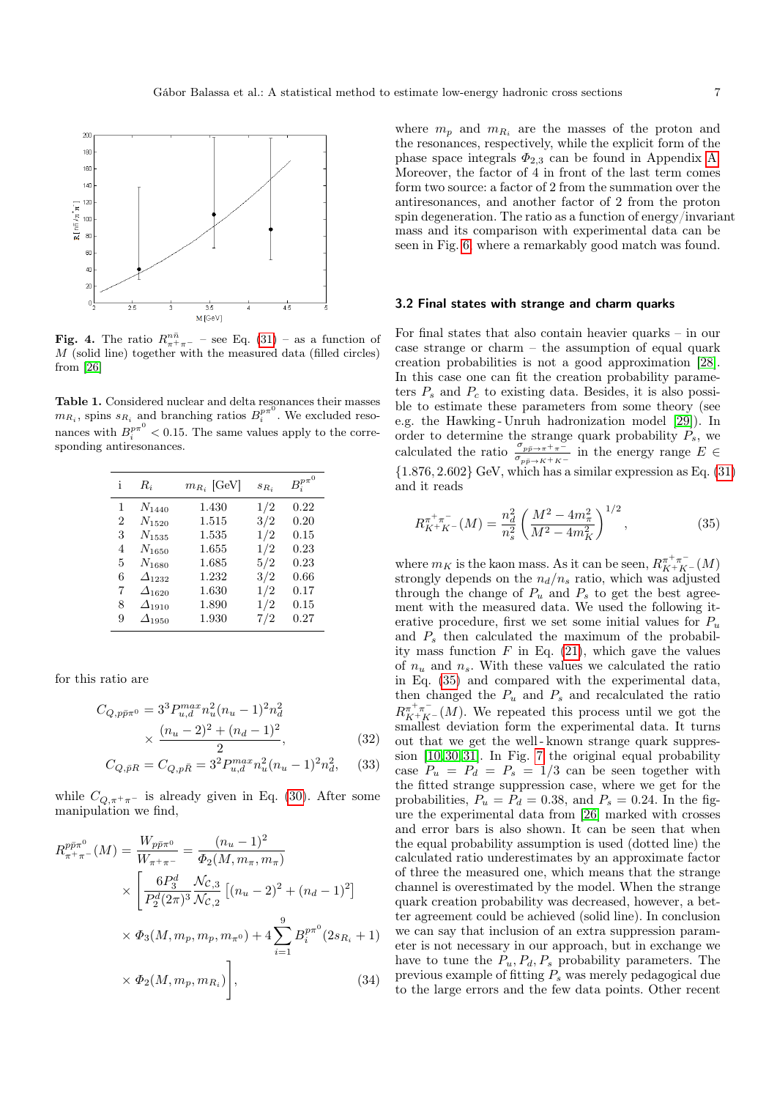

<span id="page-6-1"></span>**Fig. 4.** The ratio  $R_{\pi^+}^{n\bar{n}}$  $-$  see Eq. [\(31\)](#page-5-2) – as a function of M (solid line) together with the measured data (filled circles) from [\[26\]](#page-11-26)

<span id="page-6-2"></span>Table 1. Considered nuclear and delta resonances their masses  $m_{R_i}$ , spins  $s_{R_i}$  and branching ratios  $B_i^{p_{\pi}^{(j)}}$ . We excluded resonances with  $B_i^{p\pi^0} < 0.15$ . The same values apply to the corresponding antiresonances.

| i              | $R_i$              | $m_{R_i}$ [GeV] | $S_{R_i}$ | $B_i^{p\pi^0}$ |
|----------------|--------------------|-----------------|-----------|----------------|
| 1              | $N_{1440}$         | 1.430           | 1/2       | 0.22           |
| $\overline{2}$ | $N_{1520}$         | 1.515           | 3/2       | 0.20           |
| 3              | $N_{1535}$         | 1.535           | 1/2       | 0.15           |
| 4              | $N_{1650}$         | 1.655           | 1/2       | 0.23           |
| 5              | $N_{1680}$         | 1.685           | 5/2       | 0.23           |
| 6              | $\varDelta_{1232}$ | 1.232           | 3/2       | 0.66           |
| 7              | $\varDelta_{1620}$ | 1.630           | 1/2       | 0.17           |
| 8              | $\varDelta_{1910}$ | 1.890           | 1/2       | 0.15           |
| 9              | $\varDelta_{1950}$ | 1.930           | 7/2       | 0.27           |

for this ratio are

$$
C_{Q, p\bar{p}\pi^{0}} = 3^{3} P_{u,d}^{max} n_{u}^{2} (n_{u} - 1)^{2} n_{d}^{2}
$$

$$
\times \frac{(n_{u} - 2)^{2} + (n_{d} - 1)^{2}}{2}, \qquad (32)
$$

$$
C_{Q,\bar{p}R} = C_{Q,p\bar{R}} = 3^2 P_{u,d}^{max} n_u^2 (n_u - 1)^2 n_d^2, \quad (33)
$$

while  $C_{Q,\pi^+\pi^-}$  is already given in Eq. [\(30\)](#page-5-3). After some manipulation we find,

<span id="page-6-4"></span>
$$
R_{\pi^{+}\pi^{-}}^{p\bar{p}\pi^{0}}(M) = \frac{W_{p\bar{p}\pi^{0}}}{W_{\pi^{+}\pi^{-}}} = \frac{(n_{u}-1)^{2}}{\Phi_{2}(M, m_{\pi}, m_{\pi})}
$$
  
 
$$
\times \left[\frac{6P_{3}^{d}}{P_{2}^{d}(2\pi)^{3}} \frac{\mathcal{N}_{\mathcal{C},3}}{\mathcal{N}_{\mathcal{C},2}} \left[(n_{u}-2)^{2} + (n_{d}-1)^{2}\right] \right]
$$
  
 
$$
\times \Phi_{3}(M, m_{p}, m_{p}, m_{\pi^{0}}) + 4 \sum_{i=1}^{9} B_{i}^{p\pi^{0}}(2s_{R_{i}} + 1)
$$
  
 
$$
\times \Phi_{2}(M, m_{p}, m_{R_{i}})\right], \tag{34}
$$

where  $m_p$  and  $m_{R_i}$  are the masses of the proton and the resonances, respectively, while the explicit form of the phase space integrals  $\Phi_{2,3}$  can be found in Appendix [A.](#page-9-1) Moreover, the factor of  $4$  in front of the last term comes form two source: a factor of 2 from the summation over the antiresonances, and another factor of 2 from the proton spin degeneration. The ratio as a function of energy/invariant mass and its comparison with experimental data can be seen in Fig. [6,](#page-7-1) where a remarkably good match was found.

### <span id="page-6-0"></span>3.2 Final states with strange and charm quarks

For final states that also contain heavier quarks – in our case strange or charm – the assumption of equal quark creation probabilities is not a good approximation [\[28\]](#page-11-27). In this case one can fit the creation probability parameters  $P_s$  and  $P_c$  to existing data. Besides, it is also possible to estimate these parameters from some theory (see e.g. the Hawking - Unruh hadronization model [\[29\]](#page-12-0)). In order to determine the strange quark probability  $P_s$ , we calculated the ratio  $\frac{\sigma_{p\bar{p}\to\pi^+\pi^-}}{\sigma_{p\bar{p}\to K^+K^-}}$  in the energy range  $E \in$  ${1.876, 2.602}$  GeV, which has a similar expression as Eq.  $(31)$ and it reads

<span id="page-6-3"></span>
$$
R_{K^{+}K^{-}}^{\pi^{+}\pi^{-}}(M) = \frac{n_d^2}{n_s^2} \left(\frac{M^2 - 4m_{\pi}^2}{M^2 - 4m_K^2}\right)^{1/2},\tag{35}
$$

where  $m_K$  is the kaon mass. As it can be seen,  $R_{K^+K^-}^{\pi^+\pi^-}(M)$ strongly depends on the  $n_d/n_s$  ratio, which was adjusted through the change of  $P_u$  and  $P_s$  to get the best agreement with the measured data. We used the following iterative procedure, first we set some initial values for  $P_u$ and  $P_s$  then calculated the maximum of the probability mass function  $F$  in Eq. [\(21\)](#page-4-3), which gave the values of  $n_u$  and  $n_s$ . With these values we calculated the ratio in Eq. [\(35\)](#page-6-3) and compared with the experimental data, then changed the  $P_u$  and  $P_s$  and recalculated the ratio  $R_{K+K^-}^{\pi^+\pi^-}(M)$ . We repeated this process until we got the smallest deviation form the experimental data. It turns out that we get the well - known strange quark suppression [\[10,](#page-11-9)[30,](#page-12-1)[31\]](#page-12-2). In Fig. [7](#page-7-2) the original equal probability case  $P_u = P_d = P_s = 1/3$  can be seen together with the fitted strange suppression case, where we get for the probabilities,  $P_u = P_d = 0.38$ , and  $P_s = 0.24$ . In the figure the experimental data from [\[26\]](#page-11-26) marked with crosses and error bars is also shown. It can be seen that when the equal probability assumption is used (dotted line) the calculated ratio underestimates by an approximate factor of three the measured one, which means that the strange channel is overestimated by the model. When the strange quark creation probability was decreased, however, a better agreement could be achieved (solid line). In conclusion we can say that inclusion of an extra suppression parameter is not necessary in our approach, but in exchange we have to tune the  $P_u, P_d, P_s$  probability parameters. The previous example of fitting  $P_s$  was merely pedagogical due to the large errors and the few data points. Other recent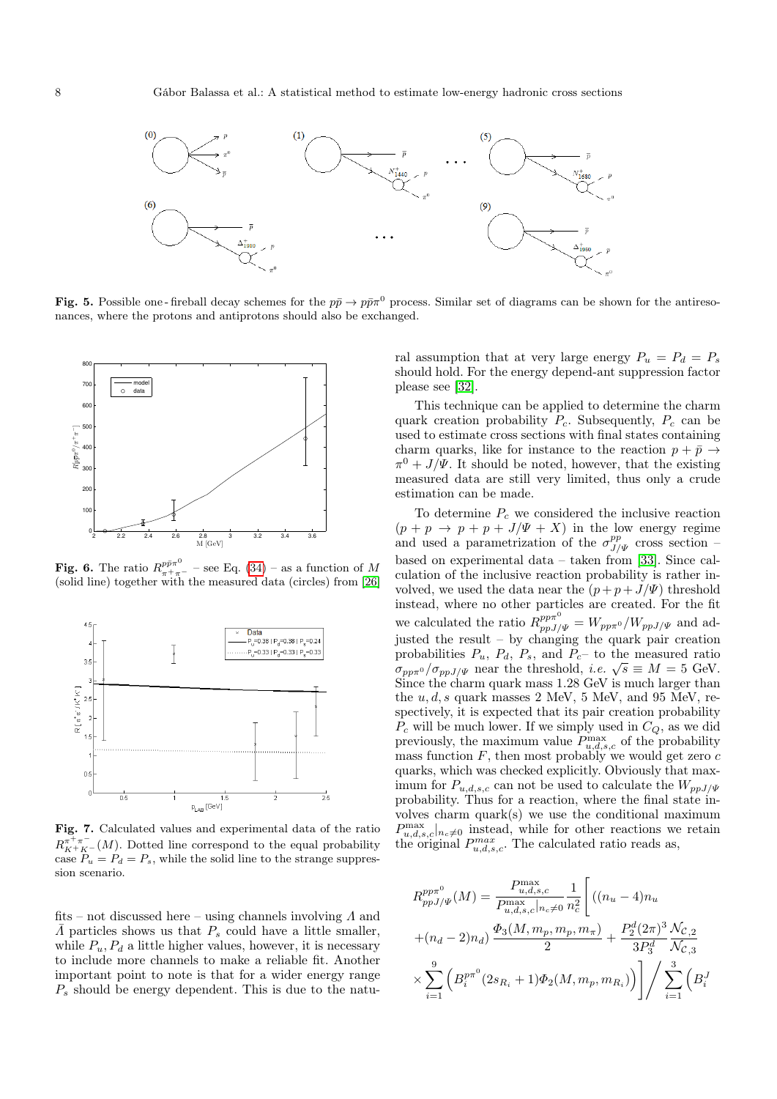

<span id="page-7-0"></span>**Fig. 5.** Possible one-fireball decay schemes for the  $p\bar{p} \to p\bar{p}\pi^0$  process. Similar set of diagrams can be shown for the antiresonances, where the protons and antiprotons should also be exchanged.



<span id="page-7-1"></span>**Fig. 6.** The ratio  $R_{++}^{p\bar{p}\pi^0}$  $-$  see Eq. [\(34\)](#page-6-4) – as a function of M (solid line) together with the measured data (circles) from [\[26\]](#page-11-26)



<span id="page-7-2"></span>Fig. 7. Calculated values and experimental data of the ratio  $R_{K^+K^-}^{\pi^+\pi^-}(M)$ . Dotted line correspond to the equal probability case  $P_u = P_d = P_s$ , while the solid line to the strange suppression scenario.

fits – not discussed here – using channels involving  $\Lambda$  and  $\overline{\Lambda}$  particles shows us that  $P_s$  could have a little smaller, while  $P_u$ ,  $P_d$  a little higher values, however, it is necessary to include more channels to make a reliable fit. Another important point to note is that for a wider energy range  $P<sub>s</sub>$  should be energy dependent. This is due to the natural assumption that at very large energy  $P_u = P_d = P_s$ should hold. For the energy depend-ant suppression factor please see [\[32\]](#page-12-3).

This technique can be applied to determine the charm quark creation probability  $P_c$ . Subsequently,  $P_c$  can be used to estimate cross sections with final states containing charm quarks, like for instance to the reaction  $p + \bar{p} \rightarrow$  $\pi^0 + J/\Psi$ . It should be noted, however, that the existing measured data are still very limited, thus only a crude estimation can be made.

To determine  $P_c$  we considered the inclusive reaction  $(p + p \rightarrow p + p + J/\Psi + X)$  in the low energy regime and used a parametrization of the  $\sigma_{J/\Psi}^{pp}$  cross section – based on experimental data – taken from [\[33\]](#page-12-4). Since calculation of the inclusive reaction probability is rather involved, we used the data near the  $(p+p+J/\Psi)$  threshold instead, where no other particles are created. For the fit we calculated the ratio  $R_{ppJ/\Psi}^{pp\pi^0} = W_{pp\pi^0}/W_{ppJ/\Psi}$  and adjusted the result – by changing the quark pair creation probabilities  $P_u$ ,  $P_d$ ,  $P_s$ , and  $P_c$  to the measured ratio probabilities  $P_u$ ,  $P_d$ ,  $P_s$ , and  $P_c$  to the measured ratio  $\sigma_{pp\pi^0}/\sigma_{ppJ/\Psi}$  near the threshold, *i.e.*  $\sqrt{s} \equiv M = 5$  GeV. Since the charm quark mass 1.28 GeV is much larger than the  $u, d, s$  quark masses 2 MeV, 5 MeV, and 95 MeV, respectively, it is expected that its pair creation probability  $P_c$  will be much lower. If we simply used in  $C_Q$ , as we did previously, the maximum value  $P_{u,d,s,c}^{\max}$  of the probability mass function  $F$ , then most probably we would get zero  $c$ quarks, which was checked explicitly. Obviously that maximum for  $P_{u,d,s,c}$  can not be used to calculate the  $W_{ppJ/\Psi}$ probability. Thus for a reaction, where the final state involves charm quark(s) we use the conditional maximum  $P_{u,d,s,c}^{\max}|_{n_c\neq0}$  instead, while for other reactions we retain the original  $P_{u,d,s,c}^{max}$ . The calculated ratio reads as,

<span id="page-7-3"></span>
$$
R_{ppJ/\Psi}^{pp\pi^{0}}(M) = \frac{P_{u,d,s,c}^{\max}}{P_{u,d,s,c}^{\max}|_{n,c} \neq 0} \frac{1}{n_c^2} \Bigg[ ((n_u - 4)n_u + (n_d - 2)n_d) \frac{\Phi_3(M, m_p, m_p, m_{\pi})}{2} + \frac{P_2^d (2\pi)^3 \mathcal{N}_{\mathcal{C},2}}{3P_3^d \mathcal{N}_{\mathcal{C},3}} \times \sum_{i=1}^9 \left( B_i^{p\pi^{0}} (2s_{R_i} + 1) \Phi_2(M, m_p, m_{R_i}) \right) \Bigg] / \sum_{i=1}^3 \left( B_i^J \right)
$$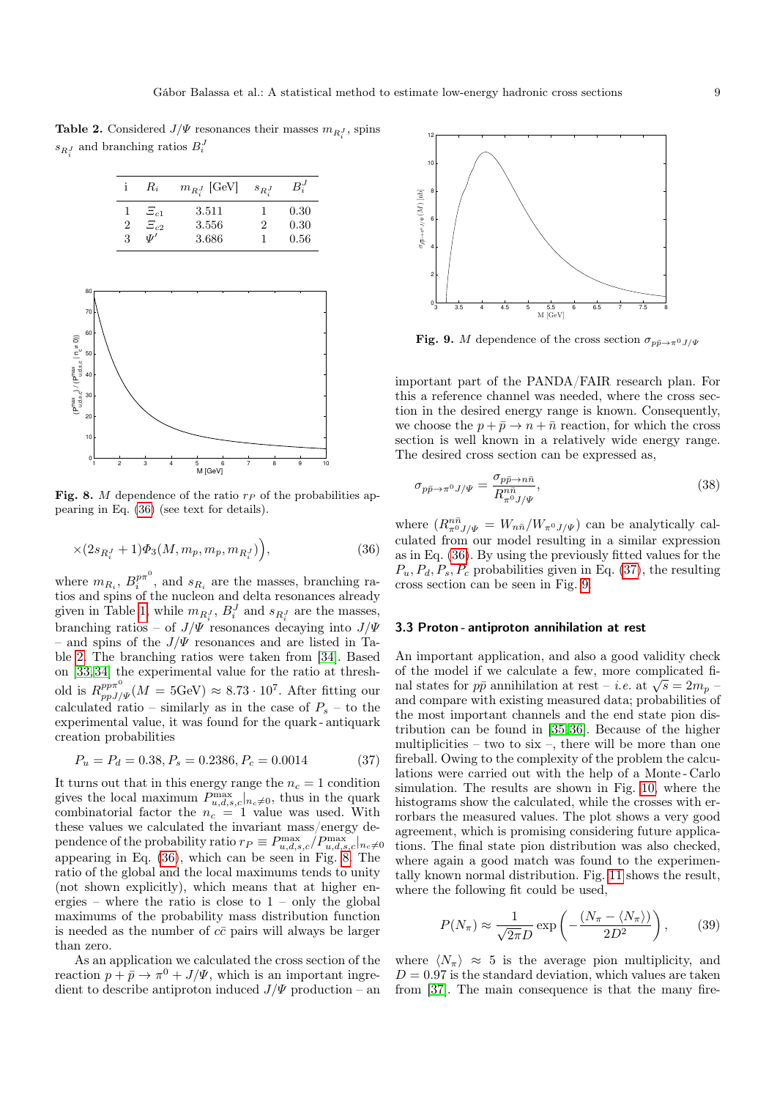<span id="page-8-0"></span>**Table 2.** Considered  $J/\Psi$  resonances their masses  $m_{R_i^J}$ , spins  $s_{R_i^J}$  and branching ratios  $B_i^J$ 

|                | $R_i$            | $m_{R_i^J}$ [GeV] | $s_{R}$ | $B_i^J$ |
|----------------|------------------|-------------------|---------|---------|
|                | $\Xi_{c1}$       | 3.511             |         | 0.30    |
| $\overline{2}$ | $\Xi_{c2}$       | 3.556             | 2       | 0.30    |
| 3              | ιTι <sup>1</sup> | 3.686             |         | 0.56    |



<span id="page-8-1"></span>Fig. 8. M dependence of the ratio  $r_P$  of the probabilities appearing in Eq. [\(36\)](#page-7-3) (see text for details).

$$
\times (2s_{R_i^J} + 1)\Phi_3(M, m_p, m_p, m_{R_i^J})\Big),\tag{36}
$$

where  $m_{R_i}, B_i^{p\pi^0}$ , and  $s_{R_i}$  are the masses, branching ratios and spins of the nucleon and delta resonances already given in Table [1,](#page-6-2) while  $m_{R_i^J}$ ,  $B_i^J$  and  $s_{R_i^J}$  are the masses, branching ratios – of  $J/\Psi$  resonances decaying into  $J/\Psi$ – and spins of the  $J/\Psi$  resonances and are listed in Table [2.](#page-8-0) The branching ratios were taken from [\[34\]](#page-12-5). Based on [\[33,](#page-12-4)[34\]](#page-12-5) the experimental value for the ratio at threshold is  $R_{ppJ/\Psi}^{pp\pi^0}(M=5{\rm GeV})\approx 8.73\cdot 10^7$ . After fitting our calculated ratio – similarly as in the case of  $P_s$  – to the experimental value, it was found for the quark - antiquark creation probabilities

<span id="page-8-2"></span>
$$
P_u = P_d = 0.38, P_s = 0.2386, P_c = 0.0014 \tag{37}
$$

It turns out that in this energy range the  $n_c = 1$  condition gives the local maximum  $P_{u,d,s,c}^{\max}|_{n_c\neq0}$ , thus in the quark combinatorial factor the  $n_c = 1$  value was used. With these values we calculated the invariant mass/energy dependence of the probability ratio  $r_P \equiv P_{u,d,s,c}^{\max}/P_{u,d,s,c}^{\max}|_{n_c \neq 0}$ appearing in Eq. [\(36\)](#page-7-3), which can be seen in Fig. [8.](#page-8-1) The ratio of the global and the local maximums tends to unity (not shown explicitly), which means that at higher energies – where the ratio is close to  $1$  – only the global maximums of the probability mass distribution function is needed as the number of  $c\bar{c}$  pairs will always be larger than zero.

As an application we calculated the cross section of the reaction  $p + \bar{p} \to \pi^0 + J/\Psi$ , which is an important ingredient to describe antiproton induced  $J/\Psi$  production – an



<span id="page-8-3"></span>**Fig. 9.** M dependence of the cross section  $\sigma_{p\bar{p}\to\pi^0J/\Psi}$ 

important part of the PANDA/FAIR research plan. For this a reference channel was needed, where the cross section in the desired energy range is known. Consequently, we choose the  $p + \bar{p} \rightarrow n + \bar{n}$  reaction, for which the cross section is well known in a relatively wide energy range. The desired cross section can be expressed as,

$$
\sigma_{p\bar{p}\to\pi^0 J/\Psi} = \frac{\sigma_{p\bar{p}\to n\bar{n}}}{R_{\pi^0 J/\Psi}^{\bar{n}\bar{n}}},\tag{38}
$$

where  $(R_{\pi^0 J/\Psi}^{n\bar{n}} = W_{n\bar{n}}/W_{\pi^0 J/\Psi})$  can be analytically calculated from our model resulting in a similar expression as in Eq. [\(36\)](#page-7-3). By using the previously fitted values for the  $P_u, P_d, P_s, P_c$  probabilities given in Eq. [\(37\)](#page-8-2), the resulting cross section can be seen in Fig. [9.](#page-8-3)

#### 3.3 Proton - antiproton annihilation at rest

An important application, and also a good validity check of the model if we calculate a few, more complicated fior the model if we calculate a few, more complicated final states for  $p\bar{p}$  annihilation at rest – *i.e.* at  $\sqrt{s} = 2m_p$  – and compare with existing measured data; probabilities of the most important channels and the end state pion distribution can be found in [\[35,](#page-12-6)[36\]](#page-12-7). Because of the higher multiplicities – two to  $\ddot{\text{six}}$  –, there will be more than one fireball. Owing to the complexity of the problem the calculations were carried out with the help of a Monte - Carlo simulation. The results are shown in Fig. [10,](#page-9-2) where the histograms show the calculated, while the crosses with errorbars the measured values. The plot shows a very good agreement, which is promising considering future applications. The final state pion distribution was also checked, where again a good match was found to the experimentally known normal distribution. Fig. [11](#page-9-3) shows the result, where the following fit could be used,

$$
P(N_{\pi}) \approx \frac{1}{\sqrt{2\pi}D} \exp\left(-\frac{(N_{\pi} - \langle N_{\pi} \rangle)}{2D^2}\right),\tag{39}
$$

where  $\langle N_{\pi} \rangle \approx 5$  is the average pion multiplicity, and  $D = 0.97$  is the standard deviation, which values are taken from [\[37\]](#page-12-8). The main consequence is that the many fire-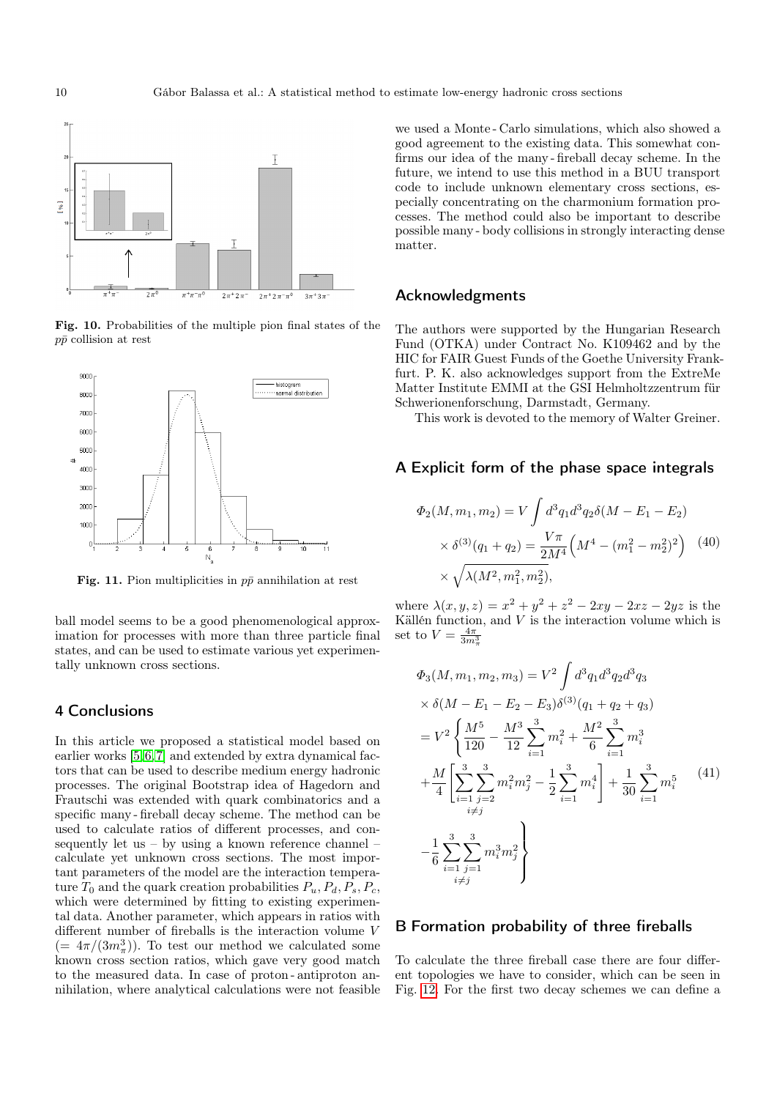

<span id="page-9-2"></span>Fig. 10. Probabilities of the multiple pion final states of the  $p\bar{p}$  collision at rest



<span id="page-9-3"></span>Fig. 11. Pion multiplicities in  $p\bar{p}$  annihilation at rest

ball model seems to be a good phenomenological approximation for processes with more than three particle final states, and can be used to estimate various yet experimentally unknown cross sections.

# 4 Conclusions

In this article we proposed a statistical model based on earlier works [\[5,](#page-11-4)[6,](#page-11-5)[7\]](#page-11-6) and extended by extra dynamical factors that can be used to describe medium energy hadronic processes. The original Bootstrap idea of Hagedorn and Frautschi was extended with quark combinatorics and a specific many - fireball decay scheme. The method can be used to calculate ratios of different processes, and consequently let us – by using a known reference channel – calculate yet unknown cross sections. The most important parameters of the model are the interaction temperature  $T_0$  and the quark creation probabilities  $P_u, P_d, P_s, P_c$ , which were determined by fitting to existing experimental data. Another parameter, which appears in ratios with different number of fireballs is the interaction volume V  $(= 4\pi/(3m_\pi^3))$ . To test our method we calculated some known cross section ratios, which gave very good match to the measured data. In case of proton - antiproton annihilation, where analytical calculations were not feasible we used a Monte - Carlo simulations, which also showed a good agreement to the existing data. This somewhat confirms our idea of the many - fireball decay scheme. In the future, we intend to use this method in a BUU transport code to include unknown elementary cross sections, especially concentrating on the charmonium formation processes. The method could also be important to describe possible many - body collisions in strongly interacting dense matter.

## Acknowledgments

The authors were supported by the Hungarian Research Fund (OTKA) under Contract No. K109462 and by the HIC for FAIR Guest Funds of the Goethe University Frankfurt. P. K. also acknowledges support from the ExtreMe Matter Institute EMMI at the GSI Helmholtzzentrum für Schwerionenforschung, Darmstadt, Germany.

This work is devoted to the memory of Walter Greiner.

## <span id="page-9-1"></span>A Explicit form of the phase space integrals

$$
\Phi_2(M, m_1, m_2) = V \int d^3 q_1 d^3 q_2 \delta(M - E_1 - E_2)
$$
  
 
$$
\times \delta^{(3)}(q_1 + q_2) = \frac{V\pi}{2M^4} \left(M^4 - (m_1^2 - m_2^2)^2\right) \tag{40}
$$
  
 
$$
\times \sqrt{\lambda(M^2, m_1^2, m_2^2)},
$$

where  $\lambda(x, y, z) = x^2 + y^2 + z^2 - 2xy - 2xz - 2yz$  is the Källén function, and  $V$  is the interaction volume which is set to  $V = \frac{4\pi}{3m_{\pi}^3}$ 

$$
\Phi_3(M, m_1, m_2, m_3) = V^2 \int d^3 q_1 d^3 q_2 d^3 q_3
$$
\n
$$
\times \delta(M - E_1 - E_2 - E_3) \delta^{(3)}(q_1 + q_2 + q_3)
$$
\n
$$
= V^2 \left\{ \frac{M^5}{120} - \frac{M^3}{12} \sum_{i=1}^3 m_i^2 + \frac{M^2}{6} \sum_{i=1}^3 m_i^3 + \frac{M}{4} \left[ \sum_{i=1}^3 \sum_{j=2}^3 m_i^2 m_j^2 - \frac{1}{2} \sum_{i=1}^3 m_i^4 \right] + \frac{1}{30} \sum_{i=1}^3 m_i^5 \right\}
$$
\n
$$
- \frac{1}{6} \sum_{i=1}^3 \sum_{j=1}^3 m_i^3 m_j^2
$$
\n
$$
\frac{1}{2} \sum_{i \neq j} \left\{ \frac{1}{2} \sum_{j=1}^3 m_i^3 m_j^2 \right\}
$$
\n
$$
(41)
$$

## <span id="page-9-0"></span>B Formation probability of three fireballs

To calculate the three fireball case there are four different topologies we have to consider, which can be seen in Fig. [12.](#page-10-0) For the first two decay schemes we can define a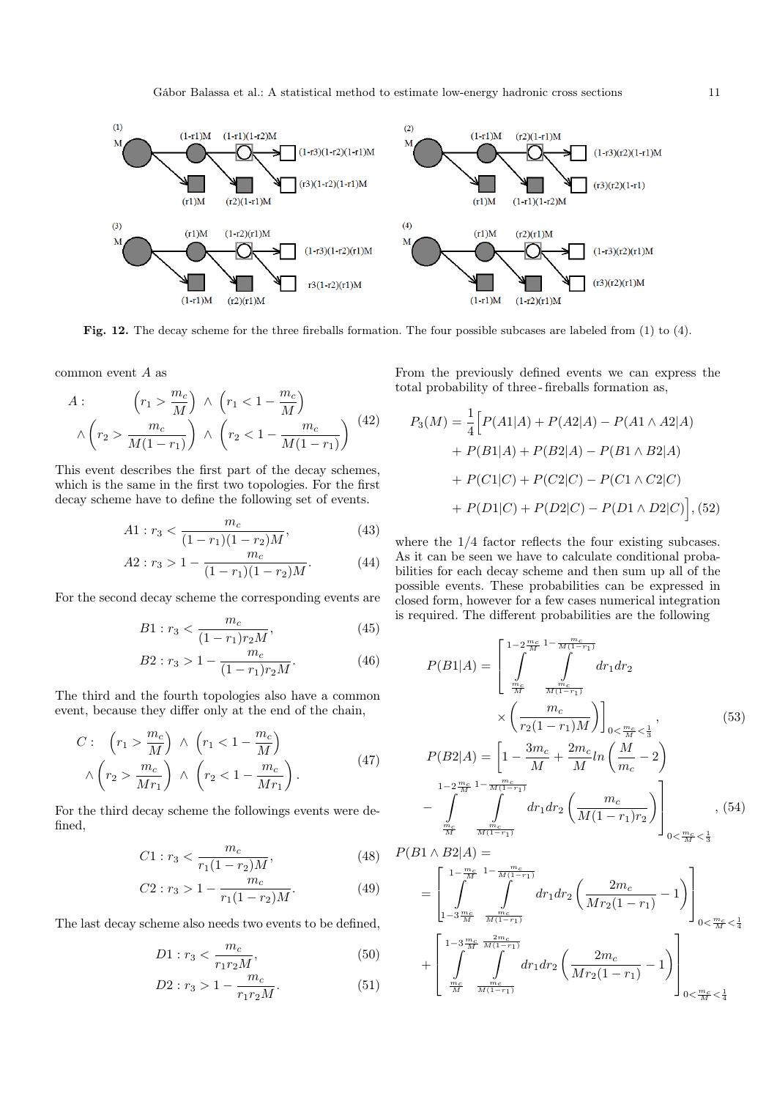

<span id="page-10-0"></span>Fig. 12. The decay scheme for the three fireballs formation. The four possible subcases are labeled from (1) to (4).

common event A as

$$
A: \qquad \left(r_1 > \frac{m_c}{M}\right) \land \left(r_1 < 1 - \frac{m_c}{M}\right) \\
\land \left(r_2 > \frac{m_c}{M(1 - r_1)}\right) \land \left(r_2 < 1 - \frac{m_c}{M(1 - r_1)}\right) \tag{42}
$$

This event describes the first part of the decay schemes, which is the same in the first two topologies. For the first decay scheme have to define the following set of events.

$$
A1: r_3 < \frac{m_c}{(1 - r_1)(1 - r_2)M},\tag{43}
$$

$$
A2: r_3 > 1 - \frac{m_c}{(1 - r_1)(1 - r_2)M}.\tag{44}
$$

For the second decay scheme the corresponding events are

$$
B1: r_3 < \frac{m_c}{(1-r_1)r_2M},\tag{45}
$$

$$
B2: r_3 > 1 - \frac{m_c}{(1 - r_1)r_2M}.\tag{46}
$$

The third and the fourth topologies also have a common event, because they differ only at the end of the chain,

$$
C: \quad \left(r_1 > \frac{m_c}{M}\right) \land \left(r_1 < 1 - \frac{m_c}{M}\right) \land \left(r_2 > \frac{m_c}{Mr_1}\right) \land \left(r_2 < 1 - \frac{m_c}{Mr_1}\right).
$$
\n
$$
(47)
$$

For the third decay scheme the followings events were defined,

$$
C1: r_3 < \frac{m_c}{r_1(1-r_2)M},\tag{48}
$$

$$
C2: r_3 > 1 - \frac{m_c}{r_1(1 - r_2)M}.\tag{49}
$$

The last decay scheme also needs two events to be defined,

$$
D1: r_3 < \frac{m_c}{r_1 r_2 M},\tag{50}
$$

$$
D2: r_3 > 1 - \frac{m_c}{r_1 r_2 M}.\tag{51}
$$

From the previously defined events we can express the total probability of three - fireballs formation as,

$$
P_3(M) = \frac{1}{4} \Big[ P(A1|A) + P(A2|A) - P(A1 \wedge A2|A) + P(B1|A) + P(B2|A) - P(B1 \wedge B2|A) + P(C1|C) + P(C2|C) - P(C1 \wedge C2|C) + P(D1|C) + P(D2|C) - P(D1 \wedge D2|C) \Big],
$$
(52)

where the  $1/4$  factor reflects the four existing subcases. As it can be seen we have to calculate conditional probabilities for each decay scheme and then sum up all of the possible events. These probabilities can be expressed in closed form, however for a few cases numerical integration is required. The different probabilities are the following

$$
P(B1|A) = \left[ \int_{\frac{m_c}{M}}^{1-2\frac{m_c}{M}} \int_{\frac{m_c}{M(1-r_1)}}^{m_c} dr_1 dr_2 + \int_{\frac{m_c}{M}}^{m_c} \int_{\frac{m_c}{M(1-r_1)}}^{m_c} dr_1 dr_2 + \left[ \frac{m_c}{r_2(1-r_1)M} \right]_{0<\frac{m_c}{M}<\frac{1}{3}},
$$
\n
$$
P(B2|A) = \left[ 1 - \frac{3m_c}{M} + \frac{2m_c}{M} ln\left(\frac{M}{m_c} - 2\right) - \frac{m_c}{M} \frac{1 - 2\frac{m_c}{M} - \frac{m_c}{M(1-r_1)}}{dr_1 dr_2 \left(\frac{m_c}{M(1-r_1)}\right)} \right],
$$
\n(54)

$$
-\int_{\frac{m_c}{M}} \int_{\frac{m_c}{M(1-r_1)}} dr_1 dr_2 \left(\frac{1}{M(1-r_1)r_2}\right) \Bigg|_{0 < \frac{m_c}{M} < \frac{1}{3}},
$$
 (5)  

$$
P(B1 \wedge B2|A) =
$$

$$
= \left[\int_{1-\frac{m_c}{M}}^{1-\frac{m_c}{M}} \int_{\frac{m_c}{M(1-r_1)}}^{1-\frac{m_c}{M(1-r_1)}} dr_1 dr_2 \left(\frac{2m_c}{Mr_2(1-r_1)}-1\right)\right]_{0<\frac{m_c}{M}<\frac{1}{4}}
$$
  
+ 
$$
\left[\int_{\frac{m_c}{M}}^{1-\frac{3m_c}{M}} \int_{\frac{m_c}{M(1-r_1)}}^{1-\frac{2m_c}{M(1-r_1)}} dr_1 dr_2 \left(\frac{2m_c}{Mr_2(1-r_1)}-1\right)\right]_{0<\frac{m_c}{M}<\frac{1}{4}}
$$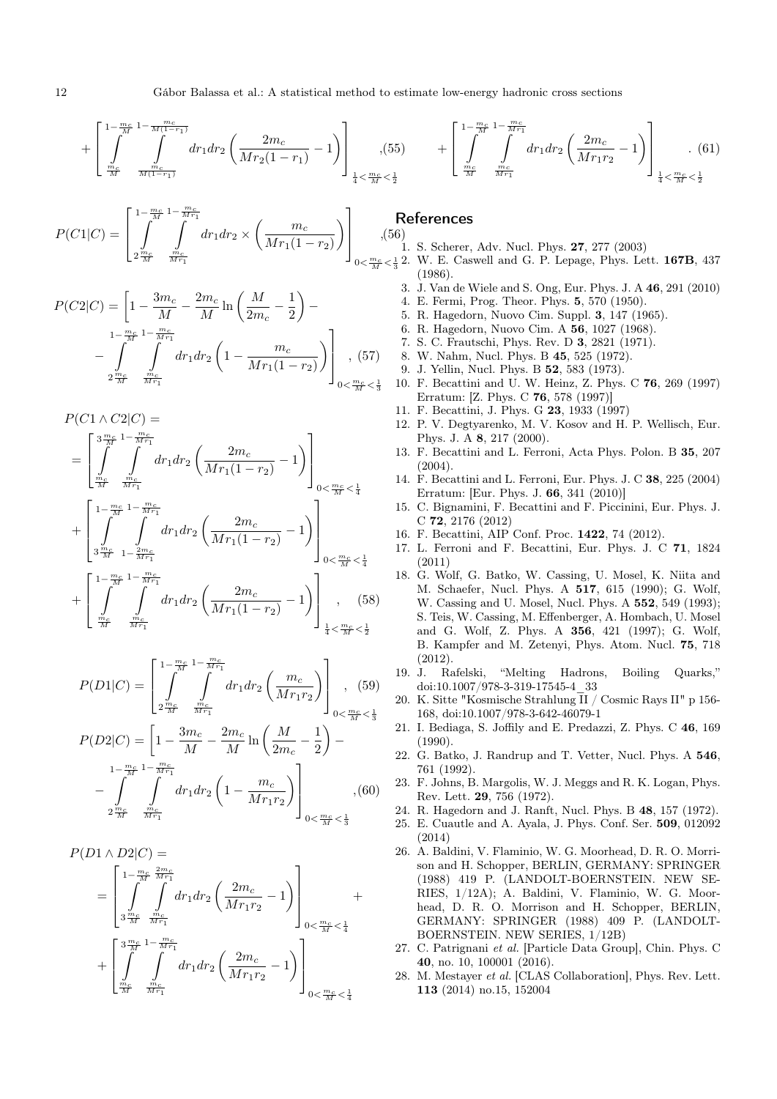$$
+\left[\int_{\frac{m_c}{M}}^{\frac{1-\frac{m_c}{M}(1-\frac{m_c}{M})}{\frac{m_c}{M(1-r_1)}}} dr_1 dr_2 \left(\frac{2m_c}{Mr_2(1-r_1)}-1\right)\right]_{\frac{1}{4} < \frac{m_c}{M} < \frac{1}{2}} + \left[\int_{\frac{m_c}{M}}^{\frac{1-\frac{m_c}{M}1-\frac{m_c}{M r_1}}{\frac{m_c}{M} \frac{m_c}{M r_1}}} dr_1 dr_2 \left(\frac{2m_c}{Mr_1 r_2}-1\right)\right]_{\frac{1}{4} < \frac{m_c}{M} < \frac{1}{2}}.
$$
(61)

$$
P(C1|C) = \left[\int_{2\frac{m_c}{M}}^{1-\frac{m_c}{M}} \int_{\frac{m_c}{Mr_1}}^{1-\frac{m_c}{Mr_1}} dr_1 dr_2 \times \left(\frac{m_c}{Mr_1(1-r_2)}\right)\right]_{0<\frac{m_c}{M}<\frac{m_c}{M}}
$$
(5)

$$
P(C2|C) = \left[1 - \frac{3m_c}{M} - \frac{2m_c}{M} \ln\left(\frac{M}{2m_c} - \frac{1}{2}\right) - \frac{1 - \frac{m_c}{M}}{M} \int \frac{m_c}{M r_1} dr_1 dr_2 \left(1 - \frac{m_c}{M r_1 (1 - r_2)}\right)\right]_{0 < \frac{m_c}{M} < \frac{1}{3}} (57)
$$

 $P(C1 \wedge C2|C) =$ 

$$
= \left[\int\limits_{\frac{m_c}{M}}^{\frac{3\frac{m_c}{M}}{M}}\int\limits_{\frac{m_c}{M r_1}}^{\frac{m_c}{M r_1}}dr_1dr_2\left(\frac{2m_c}{Mr_1(1-r_2)}-1\right)\right]_{0<\frac{m_c}{M}<\frac{1}{4}}\\+\left[\int\limits_{\frac{3\frac{m_c}{M}}{M}}^{\frac{1}{M}-\frac{m_c}{M r_1}}dr_1dr_2\left(\frac{2m_c}{Mr_1(1-r_2)}-1\right)\right]_{0<\frac{m_c}{M}<\frac{1}{4}}
$$

<span id="page-11-21"></span><span id="page-11-20"></span><span id="page-11-19"></span><span id="page-11-18"></span><span id="page-11-17"></span><span id="page-11-16"></span><span id="page-11-15"></span><span id="page-11-14"></span>
$$
\int_{0<\frac{m_c}{M}<\frac{1}{4}}
$$

$$
+\left[\int_{\frac{mc}{M}}^{1-\frac{mc}{M}} \int_{\frac{mc}{Mr_1}}^{1-\frac{mc}{Mr_1}} dr_1 dr_2 \left(\frac{2m_c}{Mr_1(1-r_2)} - 1\right)\right]_{\frac{1}{4} < \frac{mc}{M} < \frac{1}{2}}
$$
(58)

$$
P(D1|C) = \left[ \int_{2 \frac{m_c}{M}}^{1 - \frac{m_c}{M}} \int_{\frac{m_c}{M r_1}}^{1 - \frac{m_c}{M r_1}} dr_1 dr_2 \left( \frac{m_c}{M r_1 r_2} \right) \right]_{0 < \frac{m_c}{M} < \frac{1}{3}},
$$
(59)

$$
P(D2|C) = \left[1 - \frac{3m_c}{M} - \frac{2m_c}{M} \ln\left(\frac{M}{2m_c} - \frac{1}{2}\right) - \frac{1 - \frac{m_c}{M}}{2\frac{m_c}{M}}\right] - \int_{2\frac{m_c}{M}}^{\frac{m_c}{M}} \int_{\frac{m_c}{M\tau_1}}^{\frac{m_c}{M\tau_1}} dr_1 dr_2 \left(1 - \frac{m_c}{M r_1 r_2}\right) \Bigg]_{0 < \frac{m_c}{M} < \frac{1}{3}} , \quad (60)
$$

 $P(D1 \wedge D2|C) =$ 

<span id="page-11-27"></span><span id="page-11-26"></span><span id="page-11-25"></span><span id="page-11-24"></span><span id="page-11-23"></span><span id="page-11-22"></span>
$$
= \left[\int\limits_{3\frac{m_c}{M}}^{1-\frac{m_c}{M}}\int\limits_{\frac{m_c}{M_{T_1}}}^{2m_c}dr_1dr_2\left(\frac{2m_c}{Mr_1r_2}-1\right)\right]_{0<\frac{m_c}{M}<\frac{1}{4}} +\\ + \left[\int\limits_{\frac{m_c}{M}}^{3\frac{m_c}{M}}\int\limits_{\frac{m_c}{M_{T_1}}}^{1-\frac{m_c}{M_{T_1}}}dr_1dr_2\left(\frac{2m_c}{Mr_1r_2}-1\right)\right]_{0<\frac{m_c}{M}<\frac{1}{4}}.
$$

# References

<span id="page-11-1"></span><span id="page-11-0"></span>,(56) 1. S. Scherer, Adv. Nucl. Phys. 27, 277 (2003)

- <span id="page-11-13"></span><span id="page-11-12"></span><span id="page-11-11"></span><span id="page-11-10"></span><span id="page-11-9"></span><span id="page-11-8"></span><span id="page-11-7"></span><span id="page-11-6"></span><span id="page-11-5"></span><span id="page-11-4"></span><span id="page-11-3"></span><span id="page-11-2"></span> $\frac{m_c}{M} < \frac{1}{3}$  2. W. E. Caswell and G. P. Lepage, Phys. Lett. **167B**, 437 (1986).
	- 3. J. Van de Wiele and S. Ong, Eur. Phys. J. A 46, 291 (2010)
	- 4. E. Fermi, Prog. Theor. Phys. 5, 570 (1950).
	- 5. R. Hagedorn, Nuovo Cim. Suppl. 3, 147 (1965).
	- 6. R. Hagedorn, Nuovo Cim. A 56, 1027 (1968).
	- 7. S. C. Frautschi, Phys. Rev. D 3, 2821 (1971).
	- 8. W. Nahm, Nucl. Phys. B 45, 525 (1972).
	- 9. J. Yellin, Nucl. Phys. B 52, 583 (1973).
	- 10. F. Becattini and U. W. Heinz, Z. Phys. C 76, 269 (1997) Erratum: [Z. Phys. C 76, 578 (1997)]
	- 11. F. Becattini, J. Phys. G 23, 1933 (1997)
	- 12. P. V. Degtyarenko, M. V. Kosov and H. P. Wellisch, Eur. Phys. J. A 8, 217 (2000).
	- 13. F. Becattini and L. Ferroni, Acta Phys. Polon. B 35, 207  $(2004)$ .
	- 14. F. Becattini and L. Ferroni, Eur. Phys. J. C 38, 225 (2004) Erratum: [Eur. Phys. J. 66, 341 (2010)]
	- 15. C. Bignamini, F. Becattini and F. Piccinini, Eur. Phys. J. C 72, 2176 (2012)
	- 16. F. Becattini, AIP Conf. Proc. 1422, 74 (2012).
	- 17. L. Ferroni and F. Becattini, Eur. Phys. J. C 71, 1824 (2011)
	- 18. G. Wolf, G. Batko, W. Cassing, U. Mosel, K. Niita and M. Schaefer, Nucl. Phys. A 517, 615 (1990); G. Wolf, W. Cassing and U. Mosel, Nucl. Phys. A 552, 549 (1993); S. Teis, W. Cassing, M. Effenberger, A. Hombach, U. Mosel and G. Wolf, Z. Phys. A 356, 421 (1997); G. Wolf, B. Kampfer and M. Zetenyi, Phys. Atom. Nucl. 75, 718 (2012).
	- 19. J. Rafelski, "Melting Hadrons, Boiling Quarks," doi:10.1007/978-3-319-17545-4\_33
	- 20. K. Sitte "Kosmische Strahlung  $\overline{\text{I}}\text{I}$  / Cosmic Rays II" p 156-168, doi:10.1007/978-3-642-46079-1
	- 21. I. Bediaga, S. Joffily and E. Predazzi, Z. Phys. C 46, 169 (1990).
	- 22. G. Batko, J. Randrup and T. Vetter, Nucl. Phys. A 546, 761 (1992).
	- 23. F. Johns, B. Margolis, W. J. Meggs and R. K. Logan, Phys. Rev. Lett. 29, 756 (1972).
	- 24. R. Hagedorn and J. Ranft, Nucl. Phys. B 48, 157 (1972).
	- 25. E. Cuautle and A. Ayala, J. Phys. Conf. Ser. 509, 012092 (2014)
	- 26. A. Baldini, V. Flaminio, W. G. Moorhead, D. R. O. Morrison and H. Schopper, BERLIN, GERMANY: SPRINGER (1988) 419 P. (LANDOLT-BOERNSTEIN. NEW SE-RIES, 1/12A); A. Baldini, V. Flaminio, W. G. Moorhead, D. R. O. Morrison and H. Schopper, BERLIN, GERMANY: SPRINGER (1988) 409 P. (LANDOLT-BOERNSTEIN. NEW SERIES, 1/12B)
	- 27. C. Patrignani et al. [Particle Data Group], Chin. Phys. C 40, no. 10, 100001 (2016).
	- 28. M. Mestayer et al. [CLAS Collaboration], Phys. Rev. Lett. 113 (2014) no.15, 152004